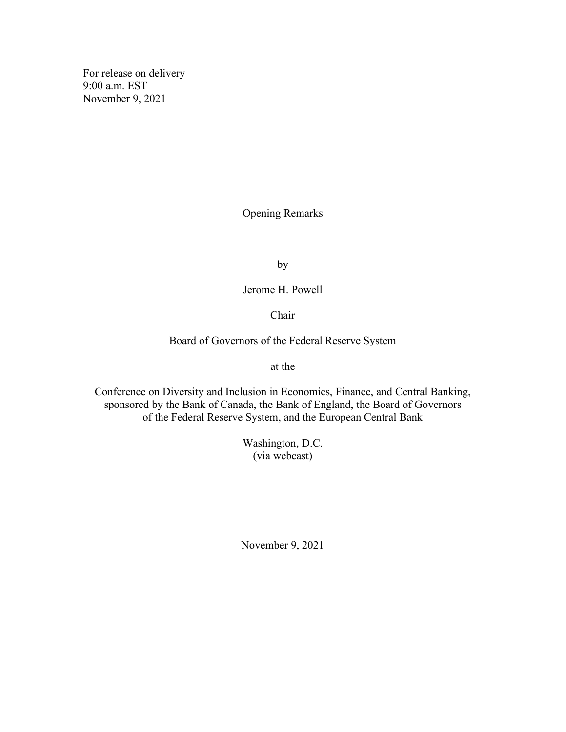For release on delivery 9:00 a.m. EST November 9, 2021

Opening Remarks

by

Jerome H. Powell

Chair

Board of Governors of the Federal Reserve System

at the

Conference on Diversity and Inclusion in Economics, Finance, and Central Banking, sponsored by the Bank of Canada, the Bank of England, the Board of Governors of the Federal Reserve System, and the European Central Bank

> Washington, D.C. (via webcast)

November 9, 2021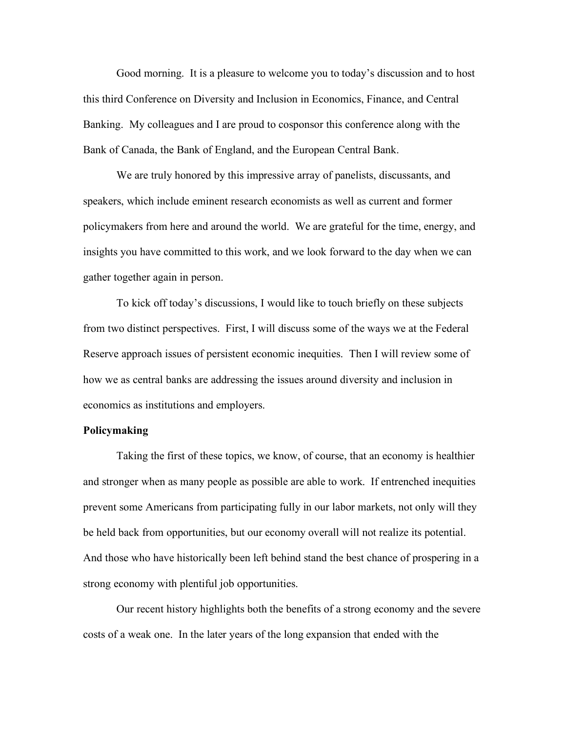Good morning. It is a pleasure to welcome you to today's discussion and to host this third Conference on Diversity and Inclusion in Economics, Finance, and Central Banking. My colleagues and I are proud to cosponsor this conference along with the Bank of Canada, the Bank of England, and the European Central Bank.

We are truly honored by this impressive array of panelists, discussants, and speakers, which include eminent research economists as well as current and former policymakers from here and around the world. We are grateful for the time, energy, and insights you have committed to this work, and we look forward to the day when we can gather together again in person.

To kick off today's discussions, I would like to touch briefly on these subjects from two distinct perspectives. First, I will discuss some of the ways we at the Federal Reserve approach issues of persistent economic inequities. Then I will review some of how we as central banks are addressing the issues around diversity and inclusion in economics as institutions and employers.

## **Policymaking**

Taking the first of these topics, we know, of course, that an economy is healthier and stronger when as many people as possible are able to work. If entrenched inequities prevent some Americans from participating fully in our labor markets, not only will they be held back from opportunities, but our economy overall will not realize its potential. And those who have historically been left behind stand the best chance of prospering in a strong economy with plentiful job opportunities.

Our recent history highlights both the benefits of a strong economy and the severe costs of a weak one. In the later years of the long expansion that ended with the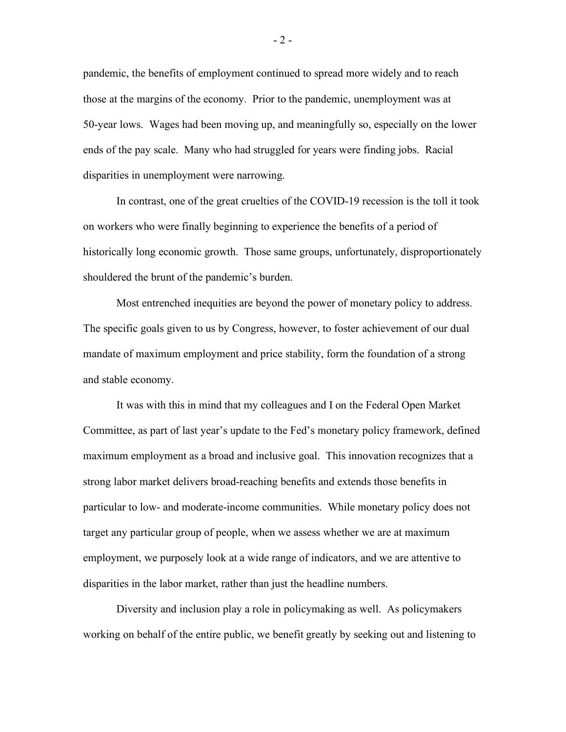pandemic, the benefits of employment continued to spread more widely and to reach those at the margins of the economy. Prior to the pandemic, unemployment was at 50-year lows. Wages had been moving up, and meaningfully so, especially on the lower ends of the pay scale. Many who had struggled for years were finding jobs. Racial disparities in unemployment were narrowing.

In contrast, one of the great cruelties of the COVID-19 recession is the toll it took on workers who were finally beginning to experience the benefits of a period of historically long economic growth. Those same groups, unfortunately, disproportionately shouldered the brunt of the pandemic's burden.

Most entrenched inequities are beyond the power of monetary policy to address. The specific goals given to us by Congress, however, to foster achievement of our dual mandate of maximum employment and price stability, form the foundation of a strong and stable economy.

It was with this in mind that my colleagues and I on the Federal Open Market Committee, as part of last year's update to the Fed's monetary policy framework, defined maximum employment as a broad and inclusive goal. This innovation recognizes that a strong labor market delivers broad-reaching benefits and extends those benefits in particular to low- and moderate-income communities. While monetary policy does not target any particular group of people, when we assess whether we are at maximum employment, we purposely look at a wide range of indicators, and we are attentive to disparities in the labor market, rather than just the headline numbers.

Diversity and inclusion play a role in policymaking as well. As policymakers working on behalf of the entire public, we benefit greatly by seeking out and listening to

- 2 -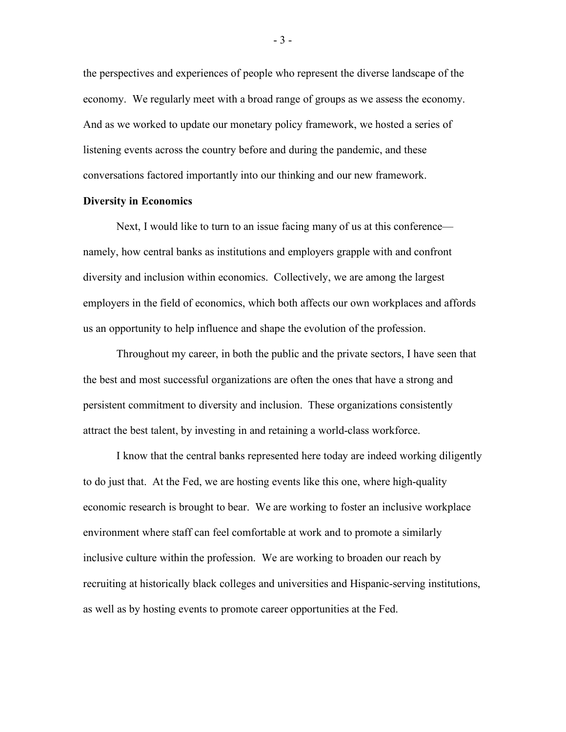the perspectives and experiences of people who represent the diverse landscape of the economy. We regularly meet with a broad range of groups as we assess the economy. And as we worked to update our monetary policy framework, we hosted a series of listening events across the country before and during the pandemic, and these conversations factored importantly into our thinking and our new framework.

## **Diversity in Economics**

Next, I would like to turn to an issue facing many of us at this conference namely, how central banks as institutions and employers grapple with and confront diversity and inclusion within economics. Collectively, we are among the largest employers in the field of economics, which both affects our own workplaces and affords us an opportunity to help influence and shape the evolution of the profession.

Throughout my career, in both the public and the private sectors, I have seen that the best and most successful organizations are often the ones that have a strong and persistent commitment to diversity and inclusion. These organizations consistently attract the best talent, by investing in and retaining a world-class workforce.

I know that the central banks represented here today are indeed working diligently to do just that. At the Fed, we are hosting events like this one, where high-quality economic research is brought to bear. We are working to foster an inclusive workplace environment where staff can feel comfortable at work and to promote a similarly inclusive culture within the profession. We are working to broaden our reach by recruiting at historically black colleges and universities and Hispanic-serving institutions, as well as by hosting events to promote career opportunities at the Fed.